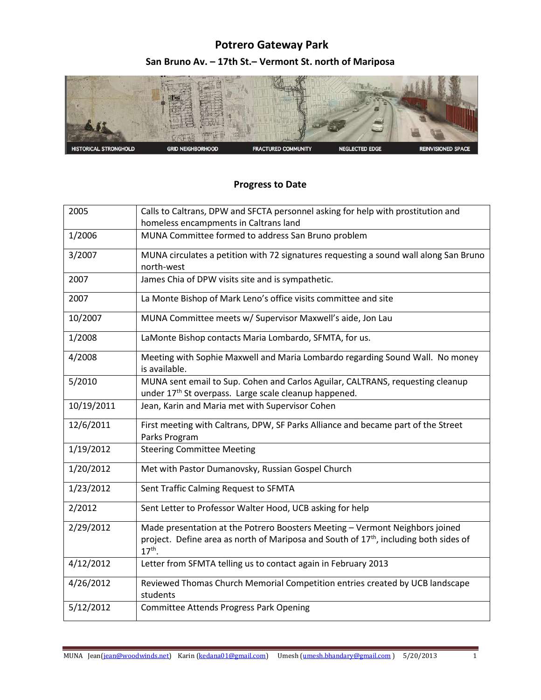## **Potrero Gateway Park San Bruno Av. – 17th St.– Vermont St. north of Mariposa**



## **Progress to Date**

| 2005       | Calls to Caltrans, DPW and SFCTA personnel asking for help with prostitution and                              |
|------------|---------------------------------------------------------------------------------------------------------------|
|            | homeless encampments in Caltrans land                                                                         |
| 1/2006     | MUNA Committee formed to address San Bruno problem                                                            |
| 3/2007     | MUNA circulates a petition with 72 signatures requesting a sound wall along San Bruno                         |
|            | north-west                                                                                                    |
| 2007       | James Chia of DPW visits site and is sympathetic.                                                             |
| 2007       | La Monte Bishop of Mark Leno's office visits committee and site                                               |
| 10/2007    | MUNA Committee meets w/ Supervisor Maxwell's aide, Jon Lau                                                    |
| 1/2008     | LaMonte Bishop contacts Maria Lombardo, SFMTA, for us.                                                        |
| 4/2008     | Meeting with Sophie Maxwell and Maria Lombardo regarding Sound Wall. No money<br>is available.                |
| 5/2010     | MUNA sent email to Sup. Cohen and Carlos Aguilar, CALTRANS, requesting cleanup                                |
|            | under 17 <sup>th</sup> St overpass. Large scale cleanup happened.                                             |
| 10/19/2011 | Jean, Karin and Maria met with Supervisor Cohen                                                               |
|            |                                                                                                               |
| 12/6/2011  | First meeting with Caltrans, DPW, SF Parks Alliance and became part of the Street                             |
|            | Parks Program                                                                                                 |
| 1/19/2012  | <b>Steering Committee Meeting</b>                                                                             |
| 1/20/2012  | Met with Pastor Dumanovsky, Russian Gospel Church                                                             |
| 1/23/2012  | Sent Traffic Calming Request to SFMTA                                                                         |
| 2/2012     | Sent Letter to Professor Walter Hood, UCB asking for help                                                     |
| 2/29/2012  | Made presentation at the Potrero Boosters Meeting - Vermont Neighbors joined                                  |
|            | project. Define area as north of Mariposa and South of 17 <sup>th</sup> , including both sides of<br>$17th$ . |
| 4/12/2012  | Letter from SFMTA telling us to contact again in February 2013                                                |
| 4/26/2012  | Reviewed Thomas Church Memorial Competition entries created by UCB landscape<br>students                      |
| 5/12/2012  | <b>Committee Attends Progress Park Opening</b>                                                                |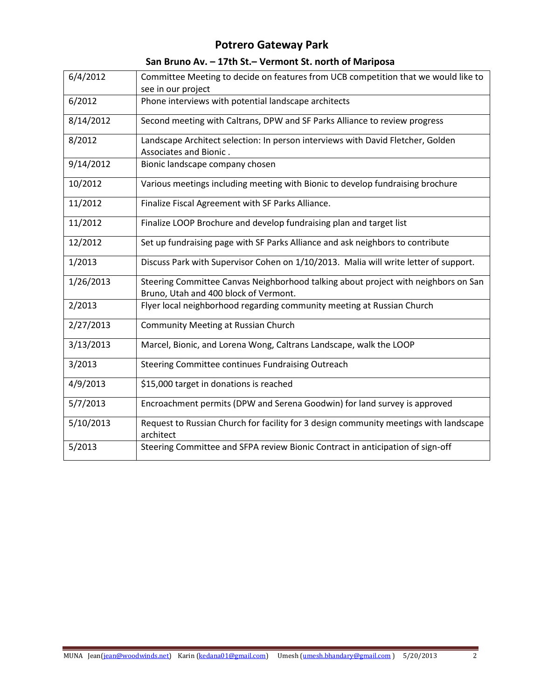## **Potrero Gateway Park**

| San Bruno Av. - 17th St. - Vermont St. north of Mariposa |  |  |  |  |
|----------------------------------------------------------|--|--|--|--|
|----------------------------------------------------------|--|--|--|--|

| 6/4/2012  | Committee Meeting to decide on features from UCB competition that we would like to<br>see in our project                    |
|-----------|-----------------------------------------------------------------------------------------------------------------------------|
| 6/2012    | Phone interviews with potential landscape architects                                                                        |
| 8/14/2012 | Second meeting with Caltrans, DPW and SF Parks Alliance to review progress                                                  |
| 8/2012    | Landscape Architect selection: In person interviews with David Fletcher, Golden<br>Associates and Bionic.                   |
| 9/14/2012 | Bionic landscape company chosen                                                                                             |
| 10/2012   | Various meetings including meeting with Bionic to develop fundraising brochure                                              |
| 11/2012   | Finalize Fiscal Agreement with SF Parks Alliance.                                                                           |
| 11/2012   | Finalize LOOP Brochure and develop fundraising plan and target list                                                         |
| 12/2012   | Set up fundraising page with SF Parks Alliance and ask neighbors to contribute                                              |
| 1/2013    | Discuss Park with Supervisor Cohen on 1/10/2013. Malia will write letter of support.                                        |
| 1/26/2013 | Steering Committee Canvas Neighborhood talking about project with neighbors on San<br>Bruno, Utah and 400 block of Vermont. |
| 2/2013    | Flyer local neighborhood regarding community meeting at Russian Church                                                      |
| 2/27/2013 | <b>Community Meeting at Russian Church</b>                                                                                  |
| 3/13/2013 | Marcel, Bionic, and Lorena Wong, Caltrans Landscape, walk the LOOP                                                          |
| 3/2013    | Steering Committee continues Fundraising Outreach                                                                           |
| 4/9/2013  | \$15,000 target in donations is reached                                                                                     |
| 5/7/2013  | Encroachment permits (DPW and Serena Goodwin) for land survey is approved                                                   |
| 5/10/2013 | Request to Russian Church for facility for 3 design community meetings with landscape<br>architect                          |
| 5/2013    | Steering Committee and SFPA review Bionic Contract in anticipation of sign-off                                              |